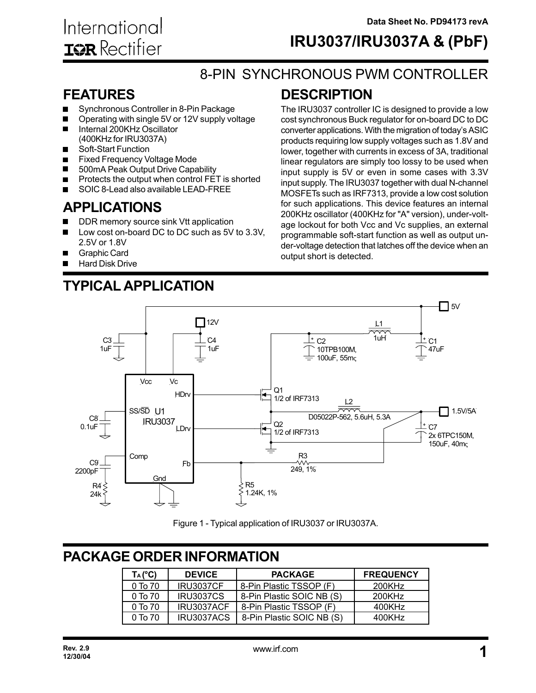## **IRU3037/IRU3037A & (PbF)**

The IRU3037 controller IC is designed to provide a low cost synchronous Buck regulator for on-board DC to DC converter applications. With the migration of today's ASIC products requiring low supply voltages such as 1.8V and

## 8-PIN SYNCHRONOUS PWM CONTROLLER

**DESCRIPTION**

### **FEATURES**

- Synchronous Controller in 8-Pin Package
- Operating with single 5V or 12V supply voltage  $\blacksquare$
- Internal 200KHz Oscillator (400KHz for IRU3037A)
- Soft-Start Function П
- Fixed Frequency Voltage Mode  $\blacksquare$
- 500mA Peak Output Drive Capability  $\blacksquare$
- Protects the output when control FET is shorted  $\blacksquare$
- SOIC 8-Lead also available LEAD-FREE П

## **APPLICATIONS**

- DDR memory source sink Vtt application
- Low cost on-board DC to DC such as 5V to 3.3V, 2.5V or 1.8V
- Graphic Card  $\blacksquare$
- Hard Disk Drive

#### lower, together with currents in excess of 3A, traditional linear regulators are simply too lossy to be used when input supply is 5V or even in some cases with 3.3V input supply. The IRU3037 together with dual N-channel MOSFETs such as IRF7313, provide a low cost solution for such applications. This device features an internal 200KHz oscillator (400KHz for "A" version), under-voltage lockout for both Vcc and Vc supplies, an external programmable soft-start function as well as output under-voltage detection that latches off the device when an output short is detected.



Figure 1 - Typical application of IRU3037 or IRU3037A.

## **PACKAGE ORDER INFORMATION**

| $T_A (^\circ \text{C})$ | <b>DEVICE</b>    | <b>PACKAGE</b>            | <b>FREQUENCY</b> |
|-------------------------|------------------|---------------------------|------------------|
| $0$ To $70$             | <b>IRU3037CF</b> | 8-Pin Plastic TSSOP (F)   | 200KHz           |
| 0T <sub>0</sub> 70      | <b>IRU3037CS</b> | 8-Pin Plastic SOIC NB (S) | 200KHz           |
| $0$ To $70$             | IRU3037ACF       | 8-Pin Plastic TSSOP (F)   | 400KHz           |
| $0$ To $70$             | IRU3037ACS       | 8-Pin Plastic SOIC NB (S) | 400KHz           |

**TYPICAL APPLICATION**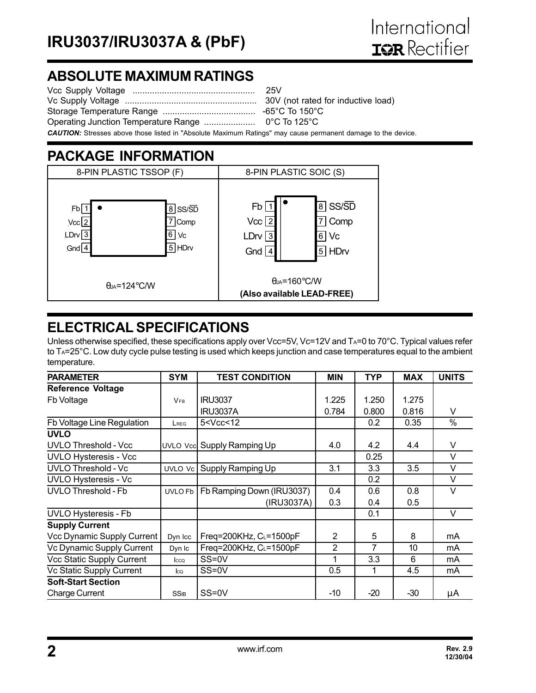## **ABSOLUTE MAXIMUM RATINGS**

| <b>CAUTION:</b> Stresses above those listed in "Absolute Maximum Ratings" may cause permanent damage to the device. |  |
|---------------------------------------------------------------------------------------------------------------------|--|

## **PACKAGE INFORMATION**



## **ELECTRICAL SPECIFICATIONS**

Unless otherwise specified, these specifications apply over Vcc=5V, Vc=12V and TA=0 to 70°C. Typical values refer to TA=25°C. Low duty cycle pulse testing is used which keeps junction and case temperatures equal to the ambient temperature.

| <b>PARAMETER</b>             | <b>SYM</b>            | <b>TEST CONDITION</b>                                                                 | <b>MIN</b>     | <b>TYP</b> | <b>MAX</b> | <b>UNITS</b> |
|------------------------------|-----------------------|---------------------------------------------------------------------------------------|----------------|------------|------------|--------------|
| <b>Reference Voltage</b>     |                       |                                                                                       |                |            |            |              |
| Fb Voltage                   | <b>V<sub>FB</sub></b> | <b>IRU3037</b>                                                                        | 1.225          | 1.250      | 1.275      |              |
|                              |                       | <b>IRU3037A</b>                                                                       | 0.784          | 0.800      | 0.816      | V            |
| Fb Voltage Line Regulation   | LREG                  | 5 <vcc<12< td=""><td></td><td>0.2</td><td>0.35</td><td><math>\%</math></td></vcc<12<> |                | 0.2        | 0.35       | $\%$         |
| <b>UVLO</b>                  |                       |                                                                                       |                |            |            |              |
| <b>UVLO Threshold - Vcc</b>  |                       | UVLO Vcc Supply Ramping Up                                                            | 4.0            | 4.2        | 4.4        | V            |
| <b>UVLO Hysteresis - Vcc</b> |                       |                                                                                       |                | 0.25       |            | $\vee$       |
| <b>UVLO Threshold - Vc</b>   | UVLO Vc               | Supply Ramping Up                                                                     | 3.1            | 3.3        | 3.5        | $\vee$       |
| <b>UVLO Hysteresis - Vc</b>  |                       |                                                                                       |                | 0.2        |            | $\vee$       |
| <b>UVLO Threshold - Fb</b>   | UVLO Fb               | Fb Ramping Down (IRU3037)                                                             | 0.4            | 0.6        | 0.8        | $\vee$       |
|                              |                       | (IRU3037A)                                                                            | 0.3            | 0.4        | 0.5        |              |
| <b>UVLO Hysteresis - Fb</b>  |                       |                                                                                       |                | 0.1        |            | $\vee$       |
| <b>Supply Current</b>        |                       |                                                                                       |                |            |            |              |
| Vcc Dynamic Supply Current   | Dyn Icc               | Freq=200KHz, CL=1500pF                                                                | $\overline{2}$ | 5          | 8          | mA           |
| Vc Dynamic Supply Current    | Dyn Ic                | Freq=200KHz, $C_L$ =1500pF                                                            | $\overline{2}$ | 7          | 10         | mA           |
| Vcc Static Supply Current    | Icco                  | SS=0V                                                                                 | 1              | 3.3        | 6          | mA           |
| Vc Static Supply Current     | lca                   | SS=0V                                                                                 | 0.5            | 1          | 4.5        | mA           |
| <b>Soft-Start Section</b>    |                       |                                                                                       |                |            |            |              |
| <b>Charge Current</b>        | <b>SSIB</b>           | $SS=0V$                                                                               | -10            | $-20$      | $-30$      | μA           |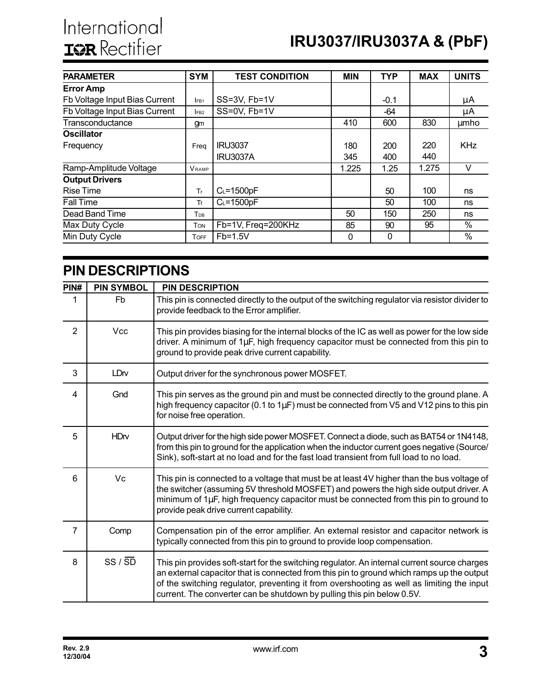| <b>PARAMETER</b>              | <b>SYM</b>      | <b>TEST CONDITION</b> | <b>MIN</b> | <b>TYP</b> | <b>MAX</b> | <b>UNITS</b>    |
|-------------------------------|-----------------|-----------------------|------------|------------|------------|-----------------|
| <b>Error Amp</b>              |                 |                       |            |            |            |                 |
| Fb Voltage Input Bias Current | IFB1            | SS=3V, Fb=1V          |            | $-0.1$     |            | μA              |
| Fb Voltage Input Bias Current | FB <sub>2</sub> | SS=0V, Fb=1V          |            | -64        |            | μA              |
| Transconductance              | gm              |                       | 410        | 600        | 830        | umho            |
| <b>Oscillator</b>             |                 |                       |            |            |            |                 |
| Frequency                     | Freq            | <b>IRU3037</b>        | 180        | 200        | 220        | <b>KHz</b>      |
|                               |                 | <b>IRU3037A</b>       | 345        | 400        | 440        |                 |
| Ramp-Amplitude Voltage        | <b>VRAMP</b>    |                       | 1.225      | 1.25       | 1.275      | V               |
| <b>Output Drivers</b>         |                 |                       |            |            |            |                 |
| <b>Rise Time</b>              | Tr.             | $C_L = 1500pF$        |            | 50         | 100        | ns              |
| <b>Fall Time</b>              | Tf              | $C_L = 1500pF$        |            | 50         | 100        | ns              |
| Dead Band Time                | Трв             |                       | 50         | 150        | 250        | ns              |
| Max Duty Cycle                | <b>TON</b>      | Fb=1V, Freq=200KHz    | 85         | 90         | 95         | $\overline{\%}$ |
| Min Duty Cycle                | <b>TOFF</b>     | $Fb=1.5V$             | 0          | 0          |            | $\%$            |

## **PIN DESCRIPTIONS**

| PIN#           | <b>PIN SYMBOL</b>     | <b>PIN DESCRIPTION</b>                                                                                                                                                                                                                                                                                                                                           |
|----------------|-----------------------|------------------------------------------------------------------------------------------------------------------------------------------------------------------------------------------------------------------------------------------------------------------------------------------------------------------------------------------------------------------|
| 1              | Fb                    | This pin is connected directly to the output of the switching regulator via resistor divider to<br>provide feedback to the Error amplifier.                                                                                                                                                                                                                      |
| $\overline{2}$ | <b>Vcc</b>            | This pin provides biasing for the internal blocks of the IC as well as power for the low side<br>driver. A minimum of 1µF, high frequency capacitor must be connected from this pin to<br>ground to provide peak drive current capability.                                                                                                                       |
| 3              | LDrv                  | Output driver for the synchronous power MOSFET.                                                                                                                                                                                                                                                                                                                  |
| 4              | Gnd                   | This pin serves as the ground pin and must be connected directly to the ground plane. A<br>high frequency capacitor (0.1 to 1µF) must be connected from V5 and V12 pins to this pin<br>for noise free operation.                                                                                                                                                 |
| 5              | <b>HD<sub>N</sub></b> | Output driver for the high side power MOSFET. Connect a diode, such as BAT54 or 1N4148,<br>from this pin to ground for the application when the inductor current goes negative (Source/<br>Sink), soft-start at no load and for the fast load transient from full load to no load.                                                                               |
| 6              | Vc                    | This pin is connected to a voltage that must be at least 4V higher than the bus voltage of<br>the switcher (assuming 5V threshold MOSFET) and powers the high side output driver. A<br>minimum of 1µF, high frequency capacitor must be connected from this pin to ground to<br>provide peak drive current capability.                                           |
| 7              | Comp                  | Compensation pin of the error amplifier. An external resistor and capacitor network is<br>typically connected from this pin to ground to provide loop compensation.                                                                                                                                                                                              |
| 8              | $SS / \overline{SD}$  | This pin provides soft-start for the switching regulator. An internal current source charges<br>an external capacitor that is connected from this pin to ground which ramps up the output<br>of the switching regulator, preventing it from overshooting as well as limiting the input<br>current. The converter can be shutdown by pulling this pin below 0.5V. |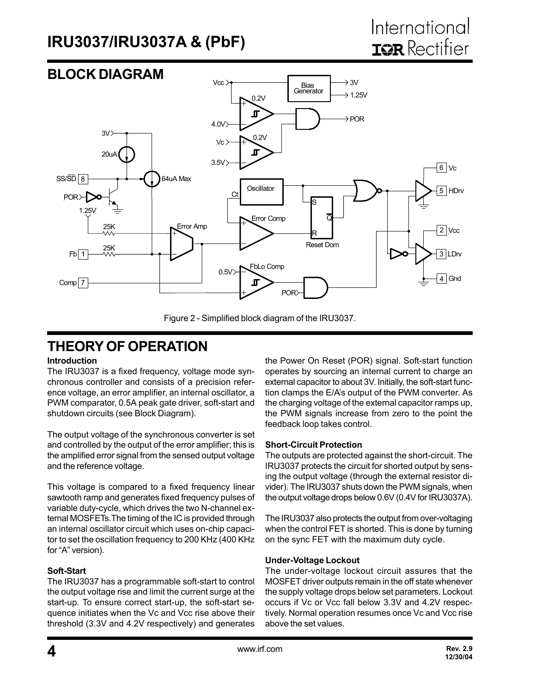#### **BLOCK DIAGRAM** Vcc >  $\rightarrow$  3V Bias **Generator**  $\rightarrow$  1.25V 0.2V  $\blacksquare$  $\rightarrow$  POR 4.0V  $3V$ 0.2V  $Vc$  $\blacksquare$ 20uA 3.5V 6 | Vc  $SS/SD$  8 64uA Max **Oscillator** HDrv 5 Ct POR S 1.25V ನ Error Comp Error Amp 25K 2 | Vcc R Reset Dom 25K  $Fb$  1 3 LDrv 0.5V FbLo Comp 4 Gnd Comp $\sqrt{7}$ POR

Figure 2 - Simplified block diagram of the IRU3037.

## **THEORY OF OPERATION**

#### **Introduction**

The IRU3037 is a fixed frequency, voltage mode synchronous controller and consists of a precision reference voltage, an error amplifier, an internal oscillator, a PWM comparator, 0.5A peak gate driver, soft-start and shutdown circuits (see Block Diagram).

The output voltage of the synchronous converter is set and controlled by the output of the error amplifier; this is the amplified error signal from the sensed output voltage and the reference voltage.

This voltage is compared to a fixed frequency linear sawtooth ramp and generates fixed frequency pulses of variable duty-cycle, which drives the two N-channel external MOSFETs.The timing of the IC is provided through an internal oscillator circuit which uses on-chip capacitor to set the oscillation frequency to 200 KHz (400 KHz for "A" version).

#### **Soft-Start**

The IRU3037 has a programmable soft-start to control the output voltage rise and limit the current surge at the start-up. To ensure correct start-up, the soft-start sequence initiates when the Vc and Vcc rise above their threshold (3.3V and 4.2V respectively) and generates

the Power On Reset (POR) signal. Soft-start function operates by sourcing an internal current to charge an external capacitor to about 3V. Initially, the soft-start function clamps the E/A's output of the PWM converter. As the charging voltage of the external capacitor ramps up, the PWM signals increase from zero to the point the feedback loop takes control.

#### **Short-Circuit Protection**

The outputs are protected against the short-circuit. The IRU3037 protects the circuit for shorted output by sensing the output voltage (through the external resistor divider). The IRU3037 shuts down the PWM signals, when the output voltage drops below 0.6V (0.4V for IRU3037A).

The IRU3037 also protects the output from over-voltaging when the control FET is shorted. This is done by turning on the sync FET with the maximum duty cycle.

#### **Under-Voltage Lockout**

The under-voltage lockout circuit assures that the MOSFET driver outputs remain in the off state whenever the supply voltage drops below set parameters. Lockout occurs if Vc or Vcc fall below 3.3V and 4.2V respectively. Normal operation resumes once Vc and Vcc rise above the set values.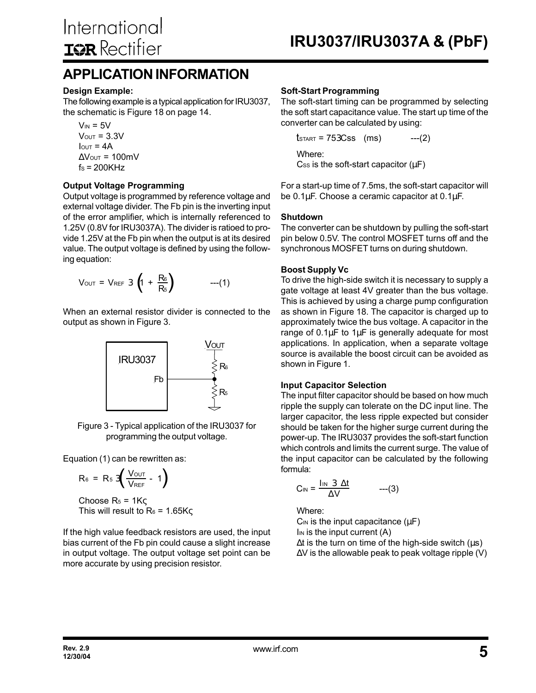## **APPLICATION INFORMATION**

#### **Design Example:**

The following example is a typical application for IRU3037, the schematic is Figure 18 on page 14.

 $V_{IN} = 5V$  $V<sub>OUT</sub> = 3.3V$  $I<sub>OUT</sub> = 4A$  $\Delta$ Vout = 100mV  $fs = 200KHz$ 

#### **Output Voltage Programming**

Output voltage is programmed by reference voltage and external voltage divider. The Fb pin is the inverting input of the error amplifier, which is internally referenced to 1.25V (0.8V for IRU3037A). The divider is ratioed to provide 1.25V at the Fb pin when the output is at its desired value. The output voltage is defined by using the following equation:

$$
V_{\text{OUT}} = V_{\text{REF}} 3 \left( 1 + \frac{R_6}{R_5} \right) \qquad ---(1)
$$

When an external resistor divider is connected to the output as shown in Figure 3.



Figure 3 - Typical application of the IRU3037 for programming the output voltage.

Equation (1) can be rewritten as:

$$
R_6 = R_5 3 \left( \frac{V_{\text{OUT}}}{V_{\text{REF}}} - 1 \right)
$$

Choose  $R_5 = 1K\zeta$ This will result to  $R_6 = 1.65K\varsigma$ 

If the high value feedback resistors are used, the input bias current of the Fb pin could cause a slight increase in output voltage. The output voltage set point can be more accurate by using precision resistor.

#### **Soft-Start Programming**

The soft-start timing can be programmed by selecting the soft start capacitance value. The start up time of the converter can be calculated by using:

\n
$$
\text{tsTART} = 753 \, \text{Css} \quad \text{(ms)} \quad --(2)
$$
\n  
\n Where:  
\n Css is the soft-start capacitor (µF)\n

For a start-up time of 7.5ms, the soft-start capacitor will be 0.1µF. Choose a ceramic capacitor at 0.1µF.

#### **Shutdown**

The converter can be shutdown by pulling the soft-start pin below 0.5V. The control MOSFET turns off and the synchronous MOSFET turns on during shutdown.

#### **Boost Supply Vc**

To drive the high-side switch it is necessary to supply a gate voltage at least 4V greater than the bus voltage. This is achieved by using a charge pump configuration as shown in Figure 18. The capacitor is charged up to approximately twice the bus voltage. A capacitor in the range of  $0.1\mu$ F to  $1\mu$ F is generally adequate for most applications. In application, when a separate voltage source is available the boost circuit can be avoided as shown in Figure 1.

#### **Input Capacitor Selection**

The input filter capacitor should be based on how much ripple the supply can tolerate on the DC input line. The larger capacitor, the less ripple expected but consider should be taken for the higher surge current during the power-up. The IRU3037 provides the soft-start function which controls and limits the current surge. The value of the input capacitor can be calculated by the following formula:

$$
C_{IN} = \frac{I_{IN} \ 3 \ \Delta t}{\Delta V} \qquad ---(3)
$$

Where:

 $C_{IN}$  is the input capacitance ( $\mu$ F)  $\mathsf{I}_{\mathsf{IN}}$  is the input current (A)  $\Delta t$  is the turn on time of the high-side switch ( $\mu$ s) ∆V is the allowable peak to peak voltage ripple (V)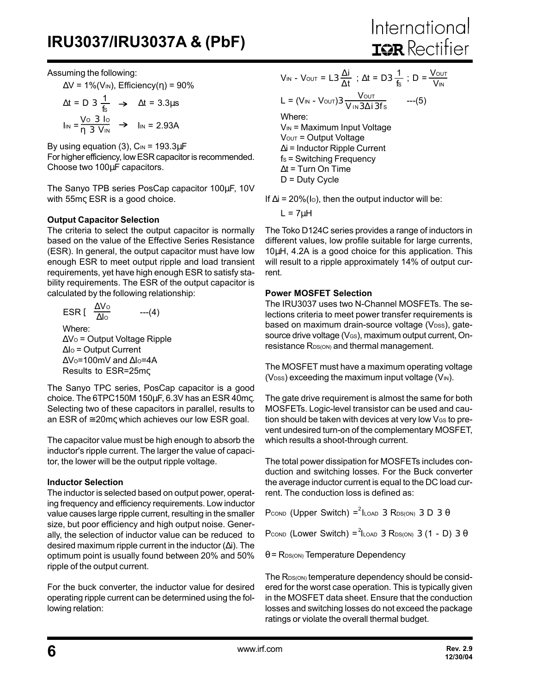Assuming the following:

 $\Delta V = 1\%$ (V<sub>IN</sub>), Efficiency(η) = 90%

$$
\Delta t = D \cdot 3 \frac{1}{f_s} \rightarrow \Delta t = 3.3 \mu s
$$
  

$$
\ln s = \frac{V \circ 3 \cdot 10}{\eta \cdot 3 \cdot V} \rightarrow \ln s = 2.93 A
$$

By using equation (3),  $C_{IN}$  = 193.3 $\mu$ F For higher efficiency, low ESR capacitor is recommended. Choose two 100µF capacitors.

The Sanyo TPB series PosCap capacitor 100µF, 10V with 55mς ESR is a good choice.

#### **Output Capacitor Selection**

The criteria to select the output capacitor is normally based on the value of the Effective Series Resistance (ESR). In general, the output capacitor must have low enough ESR to meet output ripple and load transient requirements, yet have high enough ESR to satisfy stability requirements. The ESR of the output capacitor is calculated by the following relationship:

ESR [ 
$$
\frac{\Delta V_0}{\Delta l_0}
$$
 ---(4)

\nWhere:

\n $\Delta V_0 =$  Output Voltage Ripple

\n $\Delta l_0 =$  Output Current

∆Vo=100mV and ∆lo=4A Results to ESR=25mς

The Sanyo TPC series, PosCap capacitor is a good choice. The 6TPC150M 150µF, 6.3V has an ESR 40mς. Selecting two of these capacitors in parallel, results to an ESR of  $\approx$  20m $\varsigma$  which achieves our low ESR goal.

The capacitor value must be high enough to absorb the inductor's ripple current. The larger the value of capacitor, the lower will be the output ripple voltage.

#### **Inductor Selection**

The inductor is selected based on output power, operating frequency and efficiency requirements. Low inductor value causes large ripple current, resulting in the smaller size, but poor efficiency and high output noise. Generally, the selection of inductor value can be reduced to desired maximum ripple current in the inductor (∆i). The optimum point is usually found between 20% and 50% ripple of the output current.

For the buck converter, the inductor value for desired operating ripple current can be determined using the following relation:

$$
V_{IN} - V_{OUT} = L3 \frac{\Delta i}{\Delta t} \; ; \; \Delta t = D3 \frac{1}{fs} \; ; \; D = \frac{V_{OUT}}{V_{IN}}
$$
\n
$$
L = (V_{IN} - V_{OUT})3 \frac{V_{OUT}}{V_{IN}3 \Delta i 3fs} \quad --- (5)
$$
\nWhere:

\n
$$
V_{IN} = \text{Maximum Input Voltage}
$$
\n
$$
V_{OUT} = \text{Output Voltage}
$$

∆i = Inductor Ripple Current  $fs =$  Switching Frequency

∆t = Turn On Time

D = Duty Cycle

If  $\Delta i = 20\%$ (lo), then the output inductor will be:

 $L = 7uH$ 

The Toko D124C series provides a range of inductors in different values, low profile suitable for large currents, 10µH, 4.2A is a good choice for this application. This will result to a ripple approximately 14% of output current.

#### **Power MOSFET Selection**

The IRU3037 uses two N-Channel MOSFETs. The selections criteria to meet power transfer requirements is based on maximum drain-source voltage (V<sub>DSS</sub>), gatesource drive voltage (VGS), maximum output current, Onresistance R<sub>DS(ON)</sub> and thermal management.

The MOSFET must have a maximum operating voltage  $(V_{\text{DSS}})$  exceeding the maximum input voltage  $(V_{\text{IN}})$ .

The gate drive requirement is almost the same for both MOSFETs. Logic-level transistor can be used and caution should be taken with devices at very low VGS to prevent undesired turn-on of the complementary MOSFET, which results a shoot-through current.

The total power dissipation for MOSFETs includes conduction and switching losses. For the Buck converter the average inductor current is equal to the DC load current. The conduction loss is defined as:

Pcond (Upper Switch) =  $2$ ILOAD 3 RDS(ON) 3 D 3  $\theta$ 

Pcond (Lower Switch) =  $^2$ ILOAD 3 RDS(ON) 3 (1 - D) 3  $\theta$ 

 $θ$  = R<sub>DS(ON)</sub> Temperature Dependency

The R<sub>DS(ON)</sub> temperature dependency should be considered for the worst case operation. This is typically given in the MOSFET data sheet. Ensure that the conduction losses and switching losses do not exceed the package ratings or violate the overall thermal budget.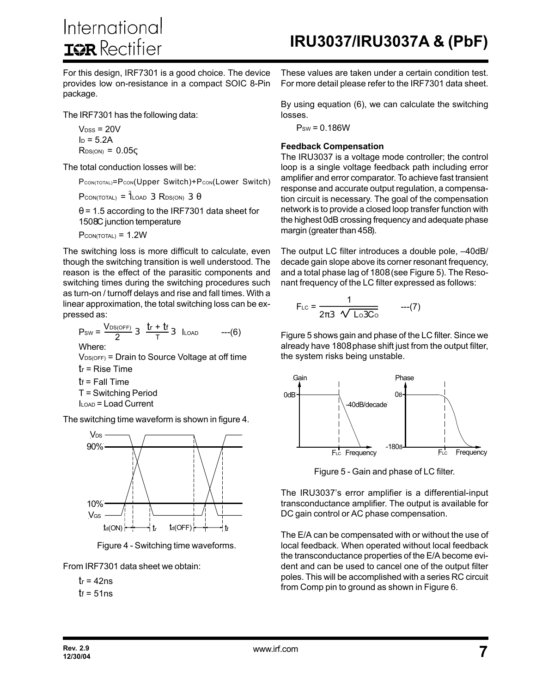International **ISR** Rectifier

For this design, IRF7301 is a good choice. The device provides low on-resistance in a compact SOIC 8-Pin package.

The IRF7301 has the following data:

 $V_{DSS}$  = 20V  $I_D = 5.2A$  $R_{DS(ON)} = 0.05c$ 

The total conduction losses will be:

PCON(TOTAL)=PCON(Upper Switch)+Pcon(Lower Switch)

 $P_{CON(TOTAL)} = \hat{1}_{LOAD}$  3  $R_{DS(ON)}$  3  $\theta$ 

 $\theta$  = 1.5 according to the IRF7301 data sheet for 1508C junction temperature

 $P_{CON(TOTAL)} = 1.2W$ 

The switching loss is more difficult to calculate, even though the switching transition is well understood. The reason is the effect of the parasitic components and switching times during the switching procedures such as turn-on / turnoff delays and rise and fall times. With a linear approximation, the total switching loss can be expressed as:

$$
P_{SW} = \frac{V_{DS(OFF)}}{2} \cdot 3 \cdot \frac{tr + tf}{T} \cdot 3 \quad I_{LOAD} \qquad ---(6)
$$
  
Where:  
  $V_{DS(OFF)} = \text{Drain to Source Voltage at off time}$   
  $tr = \text{Rise Time}$   
  $tr = \text{Fall Time}$   
  $T = \text{Switching Period}$   
  $I_{LOAD} = \text{Load Current}$ 

The switching time waveform is shown in figure 4.



Figure 4 - Switching time waveforms.

From IRF7301 data sheet we obtain:

$$
tr = 42ns
$$
  

$$
tr = 51ns
$$

These values are taken under a certain condition test. For more detail please refer to the IRF7301 data sheet.

By using equation (6), we can calculate the switching losses.

 $P_{SW} = 0.186W$ 

#### **Feedback Compensation**

The IRU3037 is a voltage mode controller; the control loop is a single voltage feedback path including error amplifier and error comparator. To achieve fast transient response and accurate output regulation, a compensation circuit is necessary. The goal of the compensation network is to provide a closed loop transfer function with the highest 0dB crossing frequency and adequate phase margin (greater than 458).

The output LC filter introduces a double pole, –40dB/ decade gain slope above its corner resonant frequency, and a total phase lag of 1808 (see Figure 5). The Resonant frequency of the LC filter expressed as follows:

$$
F_{LC} = \frac{1}{2\pi 3 \sqrt{L_0 3C_0}} \qquad ---(7)
$$

Figure 5 shows gain and phase of the LC filter. Since we already have 1808 phase shift just from the output filter, the system risks being unstable.



Figure 5 - Gain and phase of LC filter.

The IRU3037's error amplifier is a differential-input transconductance amplifier. The output is available for DC gain control or AC phase compensation.

The E/A can be compensated with or without the use of local feedback. When operated without local feedback the transconductance properties of the E/A become evident and can be used to cancel one of the output filter poles. This will be accomplished with a series RC circuit from Comp pin to ground as shown in Figure 6.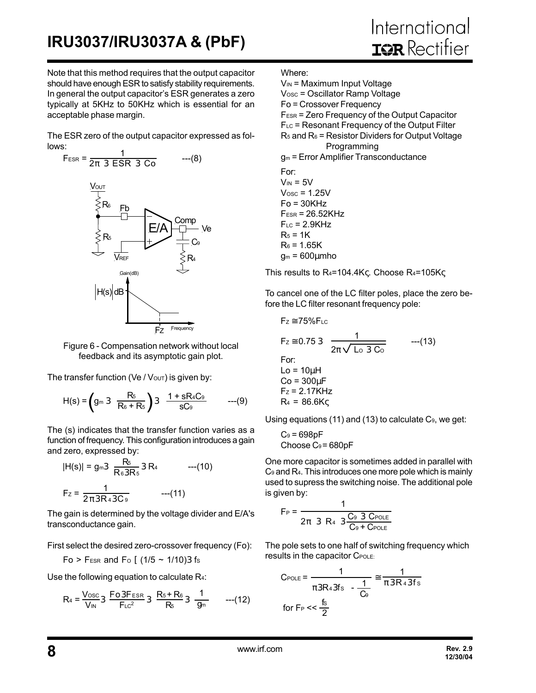Note that this method requires that the output capacitor should have enough ESR to satisfy stability requirements. In general the output capacitor's ESR generates a zero typically at 5KHz to 50KHz which is essential for an acceptable phase margin.

The ESR zero of the output capacitor expressed as follows:



Figure 6 - Compensation network without local feedback and its asymptotic gain plot.

The transfer function (Ve /  $V$ <sub>OUT</sub>) is given by:

$$
H(s) = \left( g_m 3 \frac{R_5}{R_6 + R_5} \right) 3 \frac{1 + sR_4C_9}{sC_9} \qquad ---(9)
$$

The (s) indicates that the transfer function varies as a function of frequency. This configuration introduces a gain and zero, expressed by:

$$
|H(s)| = g_{m3} \frac{R_5}{R_6 3R_5} 3 R_4 \t---(10)
$$
  

$$
F_z = \frac{1}{2\pi 3R_4 3C_9} \t---(11)
$$

The gain is determined by the voltage divider and E/A's transconductance gain.

First select the desired zero-crossover frequency (Fo):

Fo > F<sub>ESR</sub> and F<sub>o</sub> [  $(1/5 \sim 1/10)3$  fs

Use the following equation to calculate R<sub>4</sub>:

$$
R_4 = \frac{V_{\text{osc}}}{V_{\text{IN}}} 3 \frac{F_{\text{O3FESR}}}{F_{\text{LC}}^2} 3 \frac{R_5 + R_6}{R_5} 3 \frac{1}{g_m} \qquad \text{---}(12)
$$

Where:

 $V_{IN}$  = Maximum Input Voltage

Vosc = Oscillator Ramp Voltage

Fo = Crossover Frequency

FESR = Zero Frequency of the Output Capacitor

FLC = Resonant Frequency of the Output Filter  $R_5$  and  $R_6$  = Resistor Dividers for Output Voltage

Programming

gm = Error Amplifier Transconductance

For:  $V_{IN} = 5V$  $V$ osc = 1.25 $V$  $Fo = 30K$ Hz  $F_{ESR} = 26.52KHz$  $F_{LC}$  = 2.9KHz  $R_5 = 1K$  $R_6 = 1.65K$  $q_m = 600 \mu m$ ho

This results to  $R_4 = 104.4K\zeta$ . Choose  $R_4 = 105K\zeta$ 

To cancel one of the LC filter poles, place the zero before the LC filter resonant frequency pole:

$$
F_z \approx 75\% F_{LC}
$$
  
\n
$$
F_z \approx 0.753 \frac{1}{2\pi \sqrt{L_0 3 C_0}}
$$
---(13)  
\nFor:  
\n
$$
L_0 = 10\mu H
$$
  
\n
$$
C_0 = 300\mu F
$$
  
\n
$$
F_z = 2.17KHz
$$
  
\n
$$
R_4 = 86.6K\varsigma
$$

Using equations (11) and (13) to calculate  $C_9$ , we get:

$$
C_9 = 698pF
$$
  
Choose C<sub>9</sub> = 680pF

One more capacitor is sometimes added in parallel with C9 and R4. This introduces one more pole which is mainly used to supress the switching noise. The additional pole is given by:

$$
F_P = \frac{1}{2\pi \ 3 \ R_4 \ 3 \frac{C_9 \ 3 \ C_{POLE}}{C_9 + C_{POLE}}}
$$

The pole sets to one half of switching frequency which results in the capacitor CPOLE:

$$
C_{\text{POLE}} = \frac{1}{\pi 3R_4 3f_s - \frac{1}{C_0}} \approx \frac{1}{\pi 3R_4 3f_s}
$$
\n
$$
\text{for } F_{\text{P}} << \frac{f_s}{2}
$$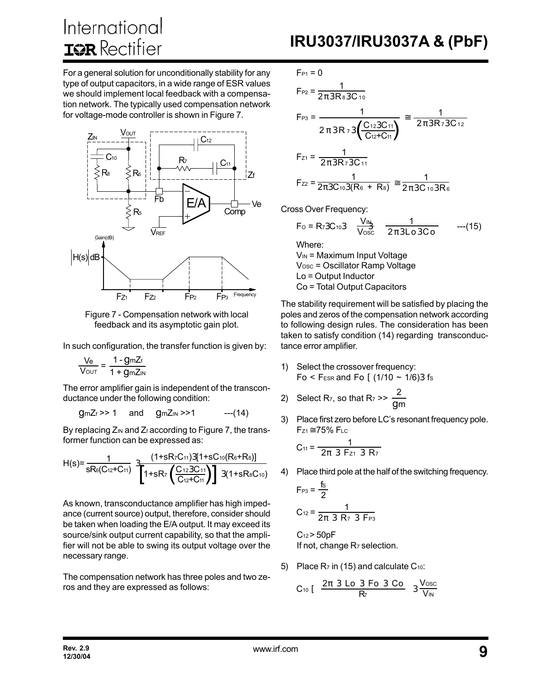For a general solution for unconditionally stability for any type of output capacitors, in a wide range of ESR values we should implement local feedback with a compensation network. The typically used compensation network for voltage-mode controller is shown in Figure 7.



Figure 7 - Compensation network with local feedback and its asymptotic gain plot.

In such configuration, the transfer function is given by:

$$
\frac{V_e}{V_{\text{OUT}}} = \frac{1 - g_m Z_f}{1 + g_m Z_{IN}}
$$

The error amplifier gain is independent of the transconductance under the following condition:

 $\text{GmZ}_{f}$  >> 1 and  $\text{GmZ}_{IN}$  >>1 ---(14)

By replacing  $Z_{\text{IN}}$  and  $Z_f$  according to Figure 7, the transformer function can be expressed as:

$$
H(s) = \frac{1}{sRe(C_{12}+C_{11})} \cdot 3 \frac{(1+sR_{7}C_{11})3[1+sC_{10}(R_{6}+R_{8})]}{1+sR_{7} \left(\frac{C_{12}3C_{11}}{C_{12}+C_{11}}\right) 3(1+sR_{8}C_{10})}
$$

As known, transconductance amplifier has high impedance (current source) output, therefore, consider should be taken when loading the E/A output. It may exceed its source/sink output current capability, so that the amplifier will not be able to swing its output voltage over the necessary range.

The compensation network has three poles and two zeros and they are expressed as follows:

$$
F_{P1} = 0
$$
\n
$$
F_{P2} = \frac{1}{2\pi 3R_8 3C_{10}}
$$
\n
$$
F_{P3} = \frac{1}{2\pi 3R_7 3\left(\frac{C_{12}3C_{11}}{C_{12} + C_{11}}\right)} \approx \frac{1}{2\pi 3R_7 3C_{12}}
$$
\n
$$
F_{Z1} = \frac{1}{2\pi 3R_7 3C_{11}}
$$

$$
F_{Z2} = \frac{1}{2\pi 3C_{10}3(R_6 + R_8)} \approx \frac{1}{2\pi 3C_{10}3R_6}
$$

Cross Over Frequency:

$$
F_0 = R_7 3C_{10} 3 \frac{V_{IN}}{V_{OSC}} \frac{1}{2\pi 3L_0 3C_0} \qquad ---(15)
$$
  
Where:  
V<sub>Nu</sub> = Maximum Input Voltrace

VIN = Maximum Input Voltage Vosc = Oscillator Ramp Voltage Lo = Output Inductor Co = Total Output Capacitors

The stability requirement will be satisfied by placing the poles and zeros of the compensation network according to following design rules. The consideration has been taken to satisfy condition (14) regarding transconductance error amplifier.

- 1) Select the crossover frequency: Fo < F<sub>ESR</sub> and Fo  $(1/10 \sim 1/6)$ 3 fs
- 2) Select R<sub>7</sub>, so that R<sub>7</sub> >>  $\frac{2}{\sqrt{2}}$ gm
- 3) Place first zero before LC's resonant frequency pole.  $F_{Z1} \cong 75\%$  FLC

$$
C_{11} = \frac{1}{2\pi \ 3 \ F_{21} \ 3 \ R_7}
$$

4) Place third pole at the half of the switching frequency.

$$
F_{P3} = \frac{fs}{2}
$$
  
C<sub>12</sub> =  $\frac{1}{2\pi \ 3 \ R \ 7 \ 3 \ F_{P3}}$ 

 $C_{12}$  > 50pF If not, change  $R_7$  selection.

5) Place  $R_7$  in (15) and calculate  $C_{10}$ :

$$
C_{10} [ \frac{2\pi \ 3 \ Lo \ 3 \ Fo \ 3 \ Co}{R_{7}} \ 3 \frac{V_{OSC}}{V_{IN}}
$$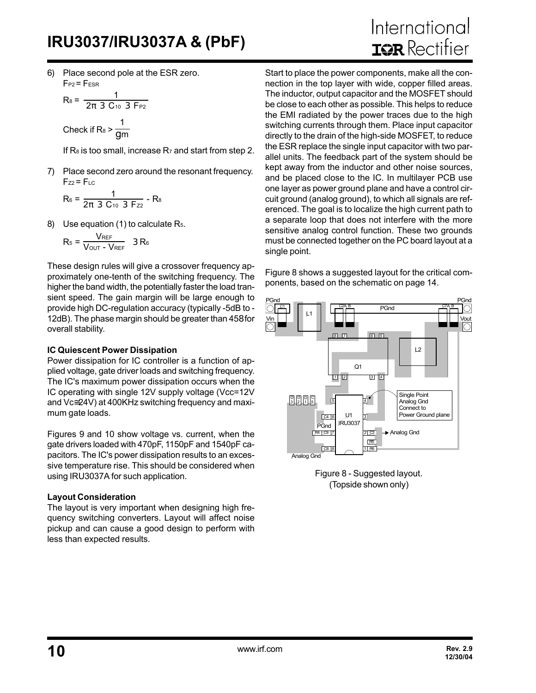6) Place second pole at the ESR zero.  $F_{P2}$  =  $F_{ESR}$ 

$$
R_8 = \frac{1}{2\pi \ 3 \ C_{10} \ 3 \ F_{P2}}
$$
  
Check if  $R_8 > \frac{1}{gm}$ 

If  $R_8$  is too small, increase  $R_7$  and start from step 2.

7) Place second zero around the resonant frequency.  $F_{Z2} = F_{LC}$ 

$$
R_6 = \frac{1}{2\pi \ 3 \ C_{10} \ 3 \ F_{22}} - R_8
$$

8) Use equation (1) to calculate R<sub>5</sub>.

$$
R_5 = \frac{V_{REF}}{V_{OUT} - V_{REF}} \quad 3 R_6
$$

These design rules will give a crossover frequency approximately one-tenth of the switching frequency. The higher the band width, the potentially faster the load transient speed. The gain margin will be large enough to provide high DC-regulation accuracy (typically -5dB to - 12dB). The phase margin should be greater than 458 for overall stability.

#### **IC Quiescent Power Dissipation**

Power dissipation for IC controller is a function of applied voltage, gate driver loads and switching frequency. The IC's maximum power dissipation occurs when the IC operating with single 12V supply voltage (Vcc=12V and Vc≅24V) at 400KHz switching frequency and maximum gate loads.

Figures 9 and 10 show voltage vs. current, when the gate drivers loaded with 470pF, 1150pF and 1540pF capacitors. The IC's power dissipation results to an excessive temperature rise. This should be considered when using IRU3037A for such application.

#### **Layout Consideration**

The layout is very important when designing high frequency switching converters. Layout will affect noise pickup and can cause a good design to perform with less than expected results.

# International **IGR** Rectifier

Start to place the power components, make all the connection in the top layer with wide, copper filled areas. The inductor, output capacitor and the MOSFET should be close to each other as possible. This helps to reduce the EMI radiated by the power traces due to the high switching currents through them. Place input capacitor directly to the drain of the high-side MOSFET, to reduce the ESR replace the single input capacitor with two parallel units. The feedback part of the system should be kept away from the inductor and other noise sources, and be placed close to the IC. In multilayer PCB use one layer as power ground plane and have a control circuit ground (analog ground), to which all signals are referenced. The goal is to localize the high current path to a separate loop that does not interfere with the more sensitive analog control function. These two grounds must be connected together on the PC board layout at a single point.

Figure 8 shows a suggested layout for the critical components, based on the schematic on page 14.



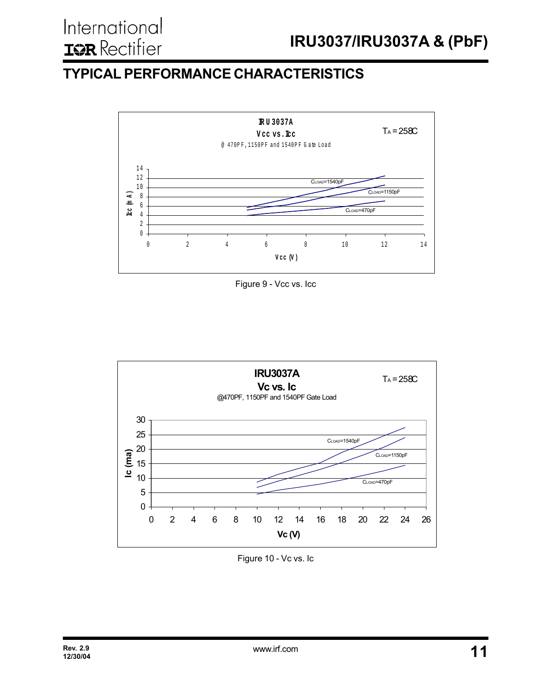## **TYPICAL PERFORMANCE CHARACTERISTICS**



Figure 9 - Vcc vs. Icc



Figure 10 - Vc vs. Ic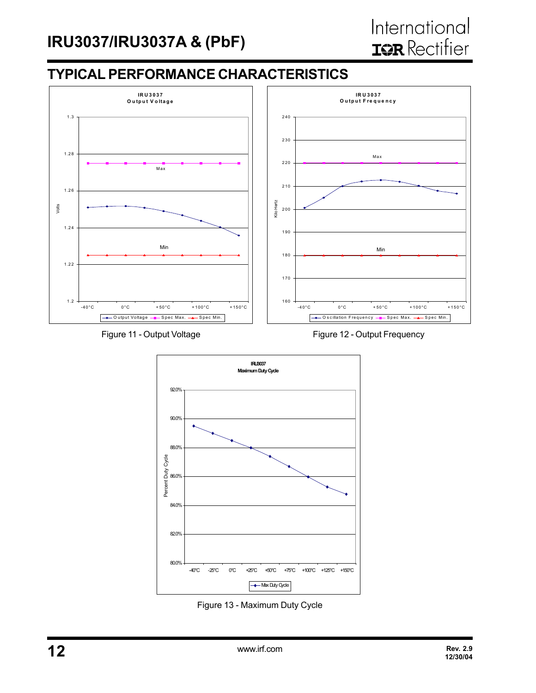### **TYPICAL PERFORMANCE CHARACTERISTICS**





Figure 11 - Output Voltage Figure 12 - Output Frequency



Figure 13 - Maximum Duty Cycle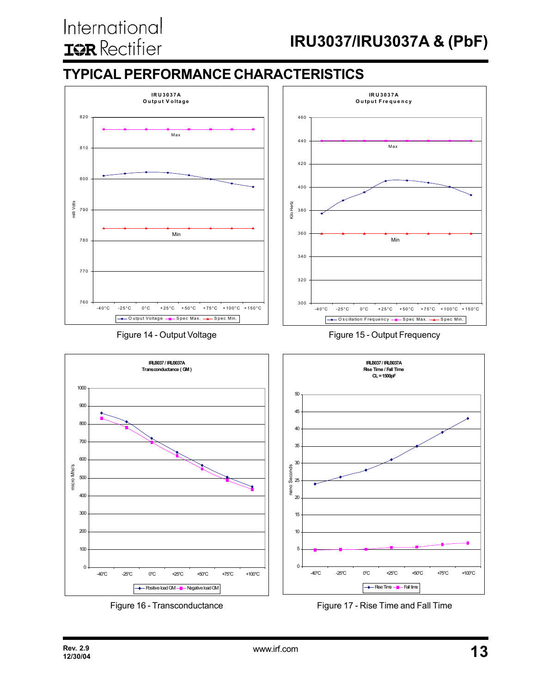## International **IQR** Rectifier

## **IRU3037/IRU3037A & (PbF)**

## **TYPICAL PERFORMANCE CHARACTERISTICS**



Figure 16 - Transconductance

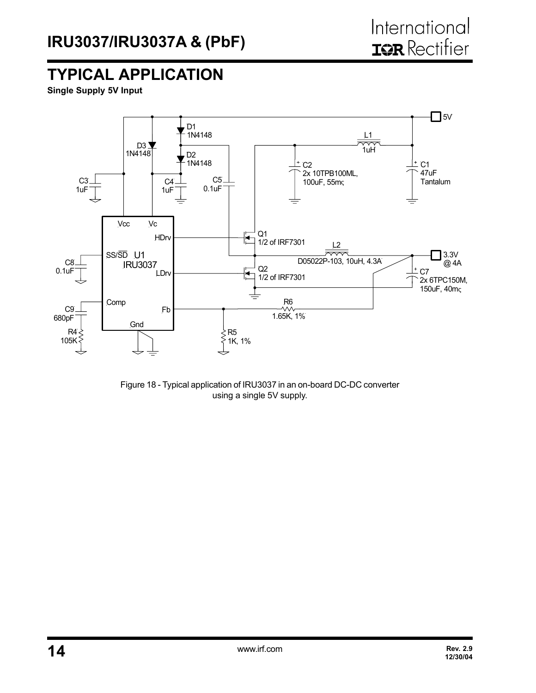## **TYPICAL APPLICATION**

**Single Supply 5V Input**



Figure 18 - Typical application of IRU3037 in an on-board DC-DC converter using a single 5V supply.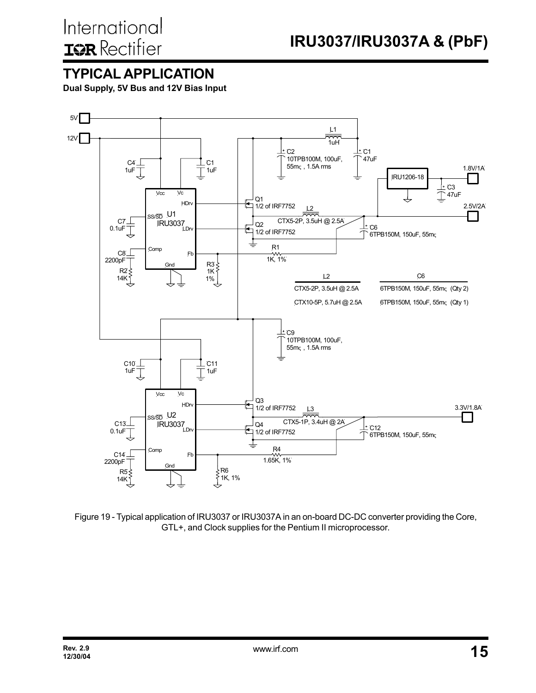### **TYPICAL APPLICATION**

**Dual Supply, 5V Bus and 12V Bias Input**



Figure 19 - Typical application of IRU3037 or IRU3037A in an on-board DC-DC converter providing the Core, GTL+, and Clock supplies for the Pentium II microprocessor.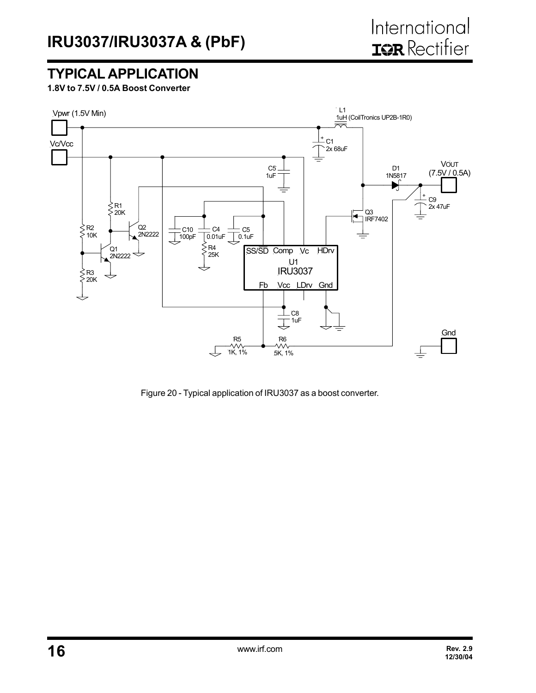## **TYPICAL APPLICATION**

**1.8V to 7.5V / 0.5A Boost Converter**



Figure 20 - Typical application of IRU3037 as a boost converter.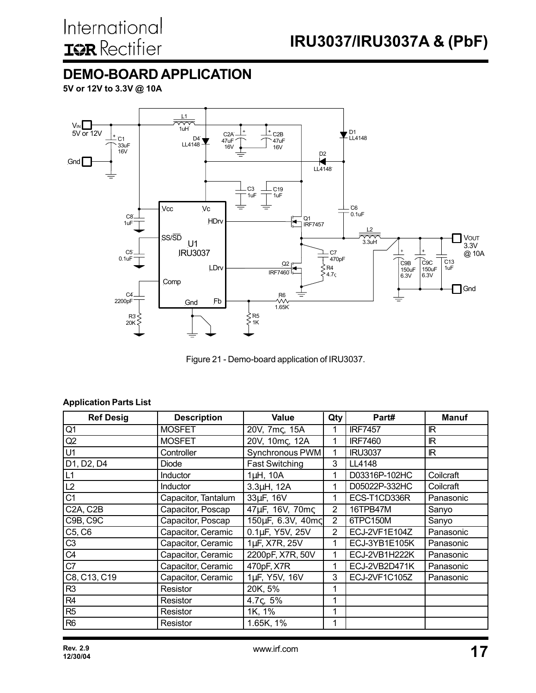## **DEMO-BOARD APPLICATION**

**5V or 12V to 3.3V @ 10A**



Figure 21 - Demo-board application of IRU3037.

#### **Application Parts List**

| <b>Ref Desig</b>                   | <b>Description</b>  | Value                  | Qty            | Part#          | <b>Manuf</b> |
|------------------------------------|---------------------|------------------------|----------------|----------------|--------------|
| Q1                                 | <b>MOSFET</b>       | 20V, 7mc, 15A          | 1              | <b>IRF7457</b> | <b>IR</b>    |
| Q2                                 | <b>MOSFET</b>       | 20V, 10mc, 12A         | 1              | <b>IRF7460</b> | <b>IR</b>    |
| U <sub>1</sub>                     | Controller          | Synchronous PWM        | 1              | <b>IRU3037</b> | IR           |
| D1, D2, D4                         | Diode               | <b>Fast Switching</b>  | 3              | LL4148         |              |
| L1                                 | Inductor            | $1\mu$ H, $10\text{A}$ | 1              | D03316P-102HC  | Coilcraft    |
| L2                                 | Inductor            | 3.3µH, 12A             | 1              | D05022P-332HC  | Coilcraft    |
| C <sub>1</sub>                     | Capacitor, Tantalum | 33µF, 16V              | 1              | ECS-T1CD336R   | Panasonic    |
| C <sub>2</sub> A, C <sub>2</sub> B | Capacitor, Poscap   | 47µF, 16V, 70mc        | $\overline{2}$ | 16TPB47M       | Sanyo        |
| <b>C9B, C9C</b>                    | Capacitor, Poscap   | 150µF, 6.3V, 40mc      | $\overline{2}$ | 6TPC150M       | Sanyo        |
| C5, C6                             | Capacitor, Ceramic  | 0.1µF, Y5V, 25V        | $\overline{2}$ | ECJ-2VF1E104Z  | Panasonic    |
| C <sub>3</sub>                     | Capacitor, Ceramic  | 1µF, X7R, 25V          | 1              | ECJ-3YB1E105K  | Panasonic    |
| C4                                 | Capacitor, Ceramic  | 2200pF, X7R, 50V       | 1              | ECJ-2VB1H222K  | Panasonic    |
| C7                                 | Capacitor, Ceramic  | 470pF, X7R             | 1              | ECJ-2VB2D471K  | Panasonic    |
| C8, C13, C19                       | Capacitor, Ceramic  | 1µF, Y5V, 16V          | 3              | ECJ-2VF1C105Z  | Panasonic    |
| R <sub>3</sub>                     | Resistor            | 20K, 5%                | 1              |                |              |
| R <sub>4</sub>                     | Resistor            | 4.7 $\zeta$ , 5%       | 1              |                |              |
| R <sub>5</sub>                     | Resistor            | 1K, 1%                 | 1              |                |              |
| R <sub>6</sub>                     | Resistor            | 1.65K, 1%              | 1              |                |              |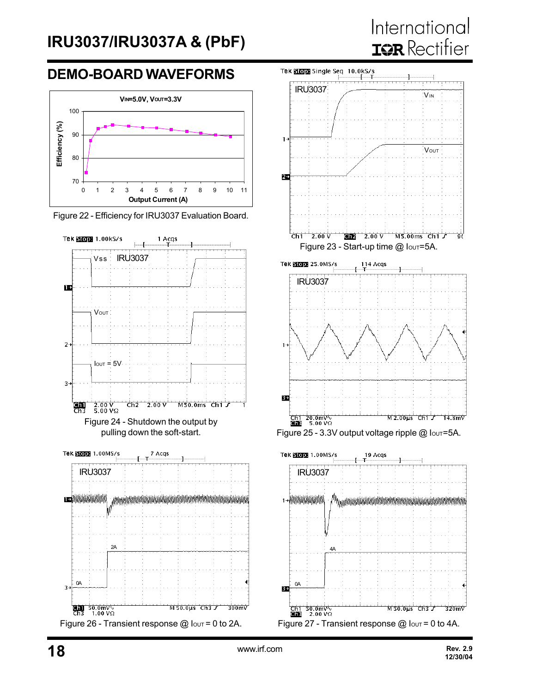## International **IQR** Rectifier

### **DEMO-BOARD WAVEFORMS**



Figure 22 - Efficiency for IRU3037 Evaluation Board.





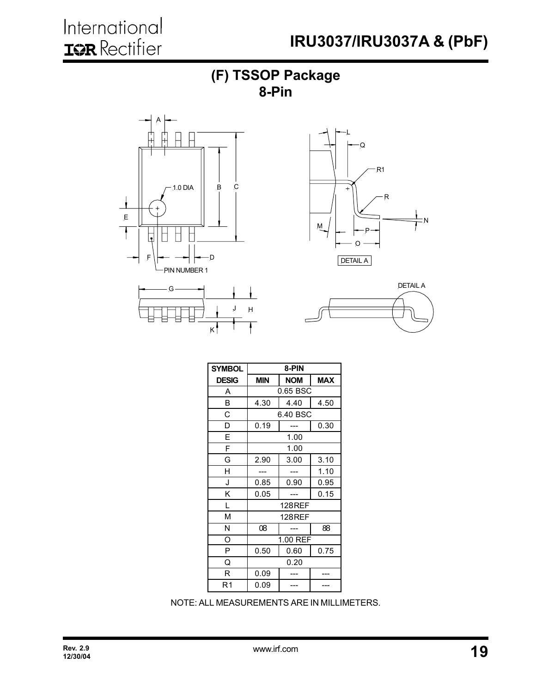









| <b>SYMBOL</b> | 8-PIN                                  |                |      |  |  |  |
|---------------|----------------------------------------|----------------|------|--|--|--|
| <b>DESIG</b>  | <b>MAX</b><br><b>MIN</b><br><b>NOM</b> |                |      |  |  |  |
| A             |                                        | 0.65 BSC       |      |  |  |  |
| B             | 4.30                                   | 4.40           | 4.50 |  |  |  |
| C             |                                        | 6.40 BSC       |      |  |  |  |
| D             | 0.19                                   |                | 0.30 |  |  |  |
| E             |                                        | 1.00           |      |  |  |  |
| F             |                                        | 1.00           |      |  |  |  |
| G             | 2.90                                   | 3.10           |      |  |  |  |
| Н             |                                        |                | 1.10 |  |  |  |
| J             | 0.85<br>0.90                           |                | 0.95 |  |  |  |
| Κ             | 0.05                                   |                | 0.15 |  |  |  |
| L             |                                        | <b>128 REF</b> |      |  |  |  |
| М             |                                        | <b>128 REF</b> |      |  |  |  |
| N             | 88<br>08                               |                |      |  |  |  |
| O             | 1.00 REF                               |                |      |  |  |  |
| P             | 0.60<br>0.50                           |                | 0.75 |  |  |  |
| Q             | 0.20                                   |                |      |  |  |  |
| R             | 0.09                                   |                |      |  |  |  |
| R1            | 0.09                                   |                |      |  |  |  |

NOTE: ALL MEASUREMENTS ARE IN MILLIMETERS.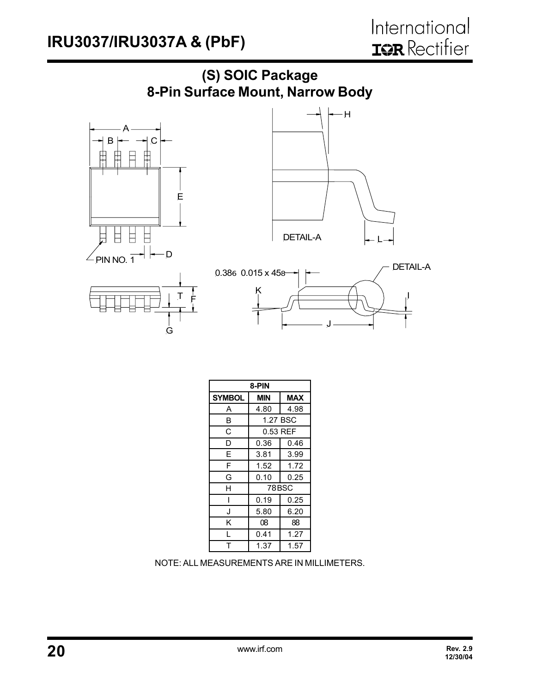

| 8-PIN         |              |            |  |  |
|---------------|--------------|------------|--|--|
| <b>SYMBOL</b> | MIN          | <b>MAX</b> |  |  |
| A             | 4.80         | 4.98       |  |  |
| B             | 1.27 BSC     |            |  |  |
| С             | 0.53 REF     |            |  |  |
| D             | 0.36         | 0.46       |  |  |
| E             | 3.81         | 3.99       |  |  |
| F             | 1.52         | 1.72       |  |  |
| G             | 0.10<br>0.25 |            |  |  |
| H             |              | 78 BSC     |  |  |
| I             | 0.19         | 0.25       |  |  |
| J             | 5.80         | 6.20       |  |  |
| Κ             | 08           | 88         |  |  |
| L             | 0.41         | 1.27       |  |  |
|               | 1.37<br>1.57 |            |  |  |

NOTE: ALL MEASUREMENTS ARE IN MILLIMETERS.